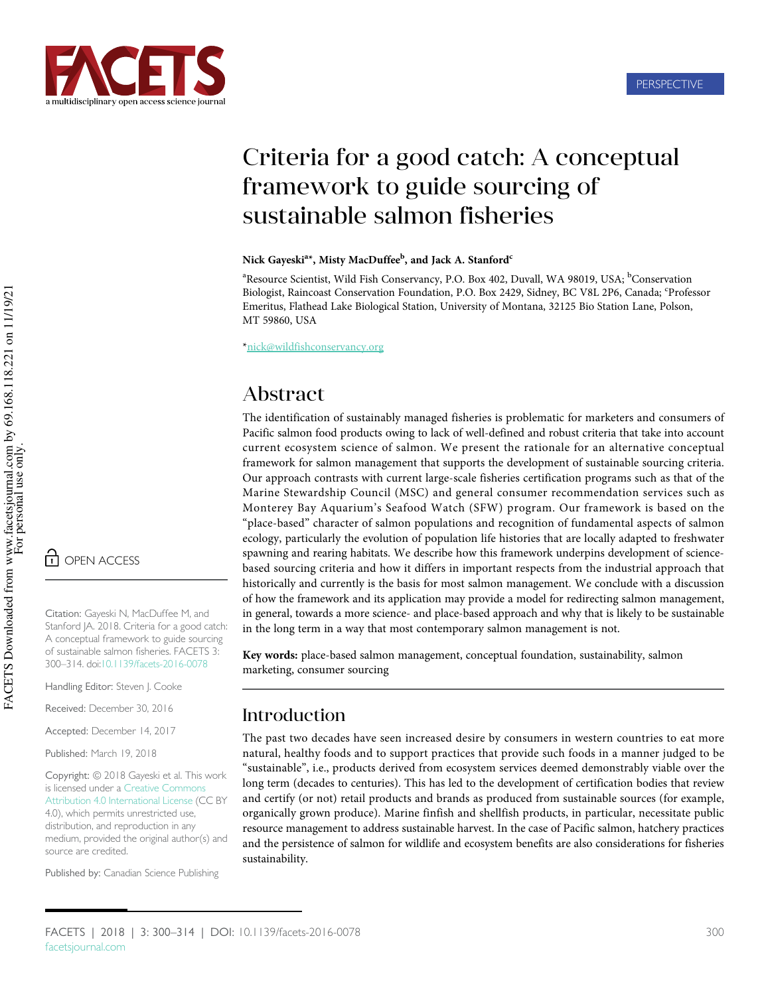

# Criteria for a good catch: A conceptual framework to guide sourcing of sustainable salmon fisheries

#### Nick Gayeski<sup>a</sup>\*, Misty MacDuffee<sup>b</sup>, and Jack A. Stanford<sup>c</sup>

<sup>a</sup>Resource Scientist, Wild Fish Conservancy, P.O. Box 402, Duvall, WA 98019, USA; <sup>b</sup>Conservation Biologist, Raincoast Conservation Foundation, P.O. Box 2429, Sidney, BC V8L 2P6, Canada; <sup>c</sup>Professor Emeritus, Flathead Lake Biological Station, University of Montana, 32125 Bio Station Lane, Polson, MT 59860, USA

\*[nick@wildfishconservancy.org](mailto:nick@wildfishconservancy.org)

# Abstract

The identification of sustainably managed fisheries is problematic for marketers and consumers of Pacific salmon food products owing to lack of well-defined and robust criteria that take into account current ecosystem science of salmon. We present the rationale for an alternative conceptual framework for salmon management that supports the development of sustainable sourcing criteria. Our approach contrasts with current large-scale fisheries certification programs such as that of the Marine Stewardship Council (MSC) and general consumer recommendation services such as Monterey Bay Aquarium's Seafood Watch (SFW) program. Our framework is based on the "place-based" character of salmon populations and recognition of fundamental aspects of salmon ecology, particularly the evolution of population life histories that are locally adapted to freshwater spawning and rearing habitats. We describe how this framework underpins development of sciencebased sourcing criteria and how it differs in important respects from the industrial approach that historically and currently is the basis for most salmon management. We conclude with a discussion of how the framework and its application may provide a model for redirecting salmon management, in general, towards a more science- and place-based approach and why that is likely to be sustainable in the long term in a way that most contemporary salmon management is not.

Key words: place-based salmon management, conceptual foundation, sustainability, salmon marketing, consumer sourcing

### Introduction

The past two decades have seen increased desire by consumers in western countries to eat more natural, healthy foods and to support practices that provide such foods in a manner judged to be "sustainable", i.e., products derived from ecosystem services deemed demonstrably viable over the long term (decades to centuries). This has led to the development of certification bodies that review and certify (or not) retail products and brands as produced from sustainable sources (for example, organically grown produce). Marine finfish and shellfish products, in particular, necessitate public resource management to address sustainable harvest. In the case of Pacific salmon, hatchery practices and the persistence of salmon for wildlife and ecosystem benefits are also considerations for fisheries sustainability.

n OPEN ACCESS

Citation: Gayeski N, MacDuffee M, and Stanford JA. 2018. Criteria for a good catch: A conceptual framework to guide sourcing of sustainable salmon fisheries. FACETS 3: 300–314. doi[:10.1139/facets-2016-0078](http://dx.doi.org/10.1139/facets-2016-0078)

Handling Editor: Steven J. Cooke

Received: December 30, 2016

Accepted: December 14, 2017

Published: March 19, 2018

Copyright: © 2018 Gayeski et al. This work is licensed under a [Creative Commons](http://creativecommons.org/licenses/by/4.0/deed.en_GB) [Attribution 4.0 International License](http://creativecommons.org/licenses/by/4.0/deed.en_GB) (CC BY 4.0), which permits unrestricted use, distribution, and reproduction in any medium, provided the original author(s) and source are credited.

Published by: Canadian Science Publishing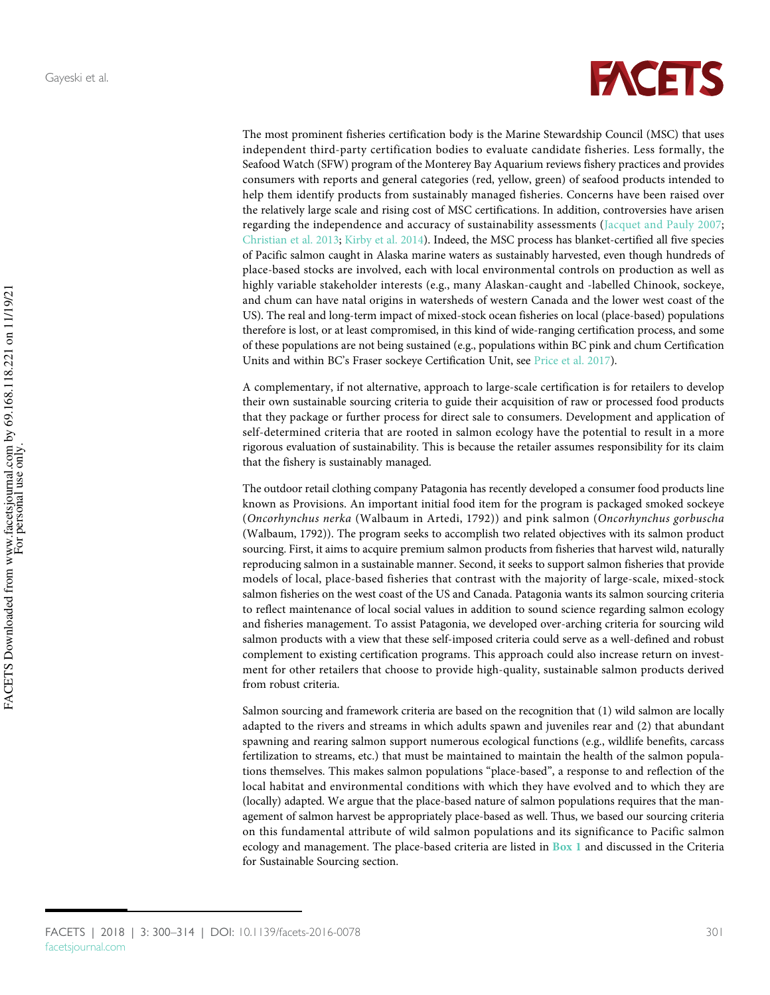

The most prominent fisheries certification body is the Marine Stewardship Council (MSC) that uses independent third-party certification bodies to evaluate candidate fisheries. Less formally, the Seafood Watch (SFW) program of the Monterey Bay Aquarium reviews fishery practices and provides consumers with reports and general categories (red, yellow, green) of seafood products intended to help them identify products from sustainably managed fisheries. Concerns have been raised over the relatively large scale and rising cost of MSC certifications. In addition, controversies have arisen regarding the independence and accuracy of sustainability assessments ([Jacquet and Pauly 2007;](#page-12-0) [Christian et al. 2013;](#page-10-0) [Kirby et al. 2014\)](#page-12-1). Indeed, the MSC process has blanket-certified all five species of Pacific salmon caught in Alaska marine waters as sustainably harvested, even though hundreds of place-based stocks are involved, each with local environmental controls on production as well as highly variable stakeholder interests (e.g., many Alaskan-caught and -labelled Chinook, sockeye, and chum can have natal origins in watersheds of western Canada and the lower west coast of the US). The real and long-term impact of mixed-stock ocean fisheries on local (place-based) populations therefore is lost, or at least compromised, in this kind of wide-ranging certification process, and some of these populations are not being sustained (e.g., populations within BC pink and chum Certification Units and within BC's Fraser sockeye Certification Unit, see [Price et al. 2017\)](#page-13-0).

A complementary, if not alternative, approach to large-scale certification is for retailers to develop their own sustainable sourcing criteria to guide their acquisition of raw or processed food products that they package or further process for direct sale to consumers. Development and application of self-determined criteria that are rooted in salmon ecology have the potential to result in a more rigorous evaluation of sustainability. This is because the retailer assumes responsibility for its claim that the fishery is sustainably managed.

The outdoor retail clothing company Patagonia has recently developed a consumer food products line known as Provisions. An important initial food item for the program is packaged smoked sockeye (Oncorhynchus nerka (Walbaum in Artedi, 1792)) and pink salmon (Oncorhynchus gorbuscha (Walbaum, 1792)). The program seeks to accomplish two related objectives with its salmon product sourcing. First, it aims to acquire premium salmon products from fisheries that harvest wild, naturally reproducing salmon in a sustainable manner. Second, it seeks to support salmon fisheries that provide models of local, place-based fisheries that contrast with the majority of large-scale, mixed-stock salmon fisheries on the west coast of the US and Canada. Patagonia wants its salmon sourcing criteria to reflect maintenance of local social values in addition to sound science regarding salmon ecology and fisheries management. To assist Patagonia, we developed over-arching criteria for sourcing wild salmon products with a view that these self-imposed criteria could serve as a well-defined and robust complement to existing certification programs. This approach could also increase return on investment for other retailers that choose to provide high-quality, sustainable salmon products derived from robust criteria.

Salmon sourcing and framework criteria are based on the recognition that (1) wild salmon are locally adapted to the rivers and streams in which adults spawn and juveniles rear and (2) that abundant spawning and rearing salmon support numerous ecological functions (e.g., wildlife benefits, carcass fertilization to streams, etc.) that must be maintained to maintain the health of the salmon populations themselves. This makes salmon populations "place-based", a response to and reflection of the local habitat and environmental conditions with which they have evolved and to which they are (locally) adapted. We argue that the place-based nature of salmon populations requires that the management of salmon harvest be appropriately place-based as well. Thus, we based our sourcing criteria on this fundamental attribute of wild salmon populations and its significance to Pacific salmon ecology and management. The place-based criteria are listed in [Box 1](#page-2-0) and discussed in the Criteria for Sustainable Sourcing section.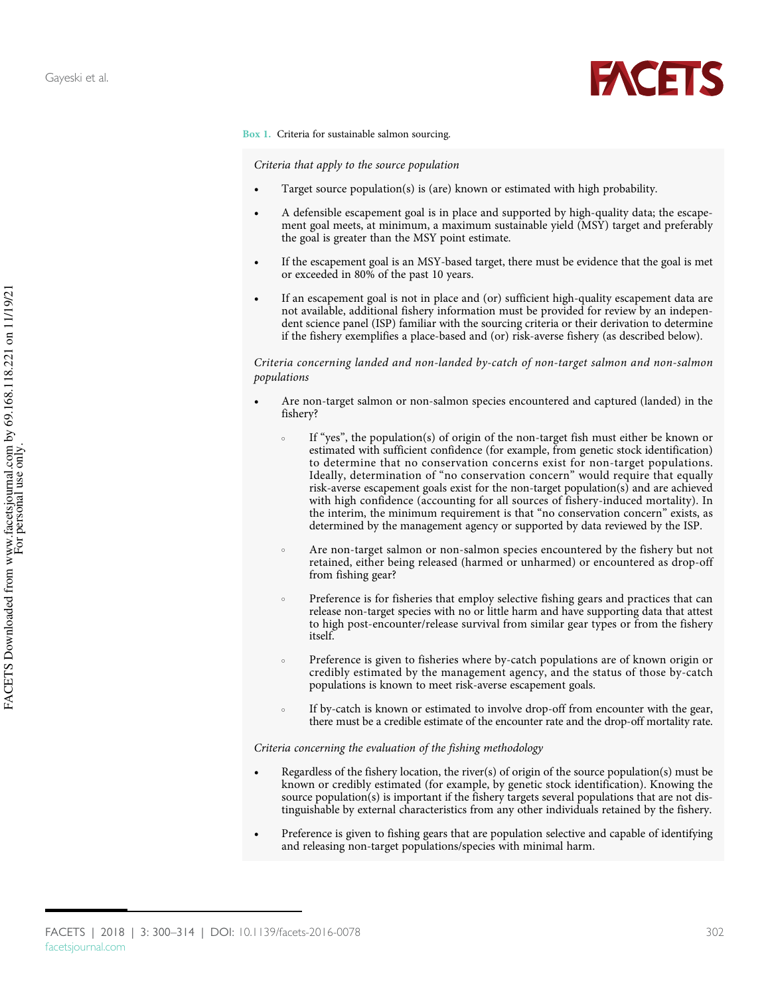

<span id="page-2-0"></span>Box 1. Criteria for sustainable salmon sourcing.

Criteria that apply to the source population

- Target source population(s) is (are) known or estimated with high probability.
- A defensible escapement goal is in place and supported by high-quality data; the escapement goal meets, at minimum, a maximum sustainable yield (MSY) target and preferably the goal is greater than the MSY point estimate.
- If the escapement goal is an MSY-based target, there must be evidence that the goal is met or exceeded in 80% of the past 10 years.
- If an escapement goal is not in place and (or) sufficient high-quality escapement data are not available, additional fishery information must be provided for review by an independent science panel (ISP) familiar with the sourcing criteria or their derivation to determine if the fishery exemplifies a place-based and (or) risk-averse fishery (as described below).

Criteria concerning landed and non-landed by-catch of non-target salmon and non-salmon populations

- Are non-target salmon or non-salmon species encountered and captured (landed) in the fishery?
	- If "yes", the population(s) of origin of the non-target fish must either be known or estimated with sufficient confidence (for example, from genetic stock identification) to determine that no conservation concerns exist for non-target populations. Ideally, determination of "no conservation concern" would require that equally risk-averse escapement goals exist for the non-target population(s) and are achieved with high confidence (accounting for all sources of fishery-induced mortality). In the interim, the minimum requirement is that "no conservation concern" exists, as determined by the management agency or supported by data reviewed by the ISP.
	- Are non-target salmon or non-salmon species encountered by the fishery but not retained, either being released (harmed or unharmed) or encountered as drop-off from fishing gear?
	- o Preference is for fisheries that employ selective fishing gears and practices that can release non-target species with no or little harm and have supporting data that attest to high post-encounter/release survival from similar gear types or from the fishery itself.
	- Preference is given to fisheries where by-catch populations are of known origin or credibly estimated by the management agency, and the status of those by-catch populations is known to meet risk-averse escapement goals.
	- If by-catch is known or estimated to involve drop-off from encounter with the gear, there must be a credible estimate of the encounter rate and the drop-off mortality rate.

#### Criteria concerning the evaluation of the fishing methodology

- Regardless of the fishery location, the river(s) of origin of the source population(s) must be known or credibly estimated (for example, by genetic stock identification). Knowing the source population(s) is important if the fishery targets several populations that are not distinguishable by external characteristics from any other individuals retained by the fishery.
- Preference is given to fishing gears that are population selective and capable of identifying and releasing non-target populations/species with minimal harm.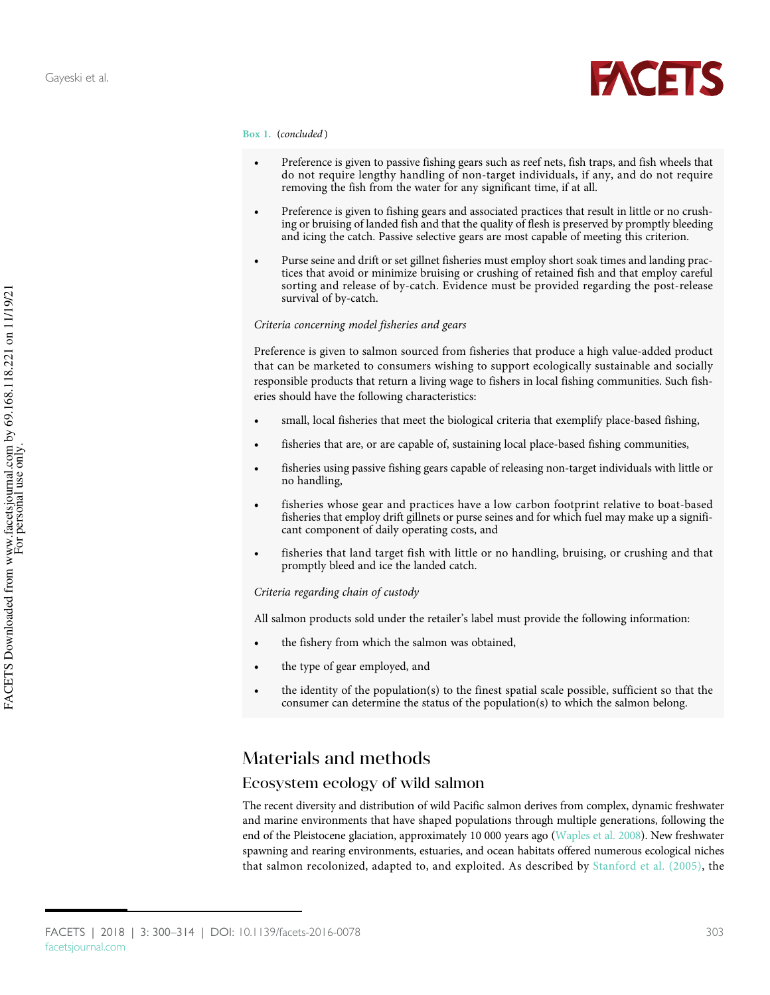

#### Box 1. (concluded )

- Preference is given to passive fishing gears such as reef nets, fish traps, and fish wheels that do not require lengthy handling of non-target individuals, if any, and do not require removing the fish from the water for any significant time, if at all.
- Preference is given to fishing gears and associated practices that result in little or no crushing or bruising of landed fish and that the quality of flesh is preserved by promptly bleeding and icing the catch. Passive selective gears are most capable of meeting this criterion.
- Purse seine and drift or set gillnet fisheries must employ short soak times and landing practices that avoid or minimize bruising or crushing of retained fish and that employ careful sorting and release of by-catch. Evidence must be provided regarding the post-release survival of by-catch.

#### Criteria concerning model fisheries and gears

Preference is given to salmon sourced from fisheries that produce a high value-added product that can be marketed to consumers wishing to support ecologically sustainable and socially responsible products that return a living wage to fishers in local fishing communities. Such fisheries should have the following characteristics:

- small, local fisheries that meet the biological criteria that exemplify place-based fishing,
- fisheries that are, or are capable of, sustaining local place-based fishing communities,
- fisheries using passive fishing gears capable of releasing non-target individuals with little or no handling,
- fisheries whose gear and practices have a low carbon footprint relative to boat-based fisheries that employ drift gillnets or purse seines and for which fuel may make up a significant component of daily operating costs, and
- fisheries that land target fish with little or no handling, bruising, or crushing and that promptly bleed and ice the landed catch.

#### Criteria regarding chain of custody

All salmon products sold under the retailer's label must provide the following information:

- the fishery from which the salmon was obtained,
- the type of gear employed, and
- the identity of the population(s) to the finest spatial scale possible, sufficient so that the consumer can determine the status of the population(s) to which the salmon belong.

### Materials and methods

### Ecosystem ecology of wild salmon

The recent diversity and distribution of wild Pacific salmon derives from complex, dynamic freshwater and marine environments that have shaped populations through multiple generations, following the end of the Pleistocene glaciation, approximately 10 000 years ago ([Waples et al. 2008\)](#page-14-0). New freshwater spawning and rearing environments, estuaries, and ocean habitats offered numerous ecological niches that salmon recolonized, adapted to, and exploited. As described by [Stanford et al. \(2005\)](#page-14-1), the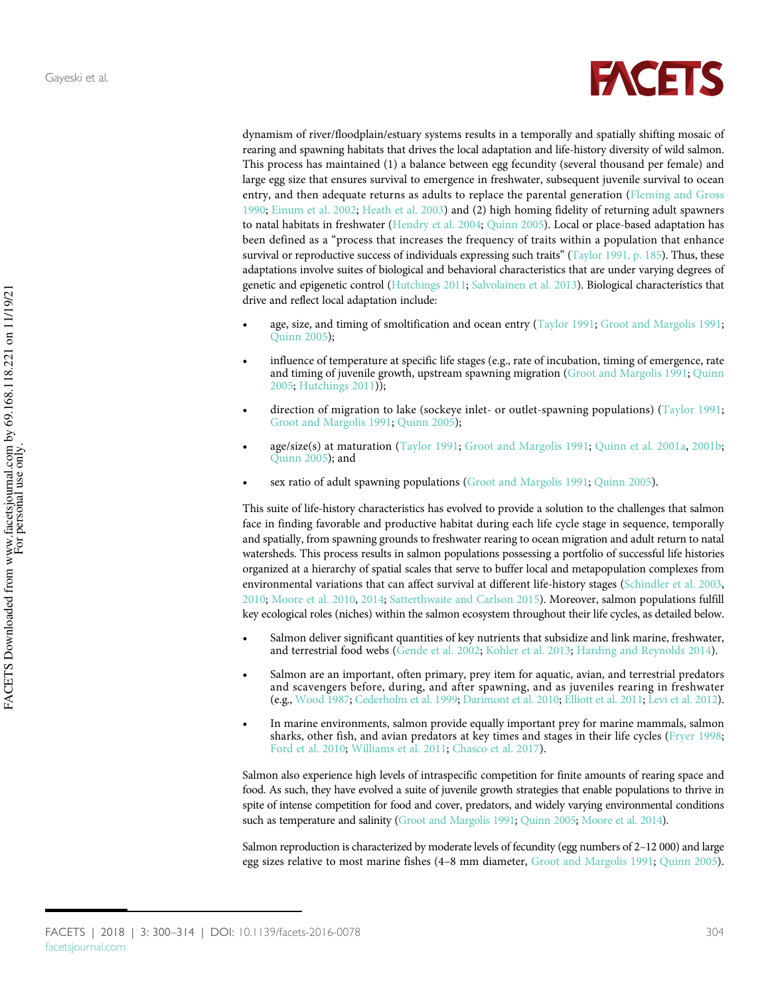

dynamism of river/floodplain/estuary systems results in a temporally and spatially shifting mosaic of rearing and spawning habitats that drives the local adaptation and life-history diversity of wild salmon. This process has maintained (1) a balance between egg fecundity (several thousand per female) and large egg size that ensures survival to emergence in freshwater, subsequent juvenile survival to ocean entry, and then adequate returns as adults to replace the parental generation [\(Fleming and Gross](#page-11-0) [1990](#page-11-0); [Einum et al. 2002](#page-11-1); [Heath et al. 2003\)](#page-11-2) and (2) high homing fidelity of returning adult spawners to natal habitats in freshwater [\(Hendry et al. 2004](#page-11-3); [Quinn 2005\)](#page-13-1). Local or place-based adaptation has been defined as a "process that increases the frequency of traits within a population that enhance survival or reproductive success of individuals expressing such traits" ([Taylor 1991, p. 185](#page-14-2)). Thus, these adaptations involve suites of biological and behavioral characteristics that are under varying degrees of genetic and epigenetic control [\(Hutchings 2011;](#page-12-2) [Salvolainen et al. 2013\)](#page-13-2). Biological characteristics that drive and reflect local adaptation include:

- age, size, and timing of smoltification and ocean entry [\(Taylor 1991;](#page-14-2) [Groot and Margolis 1991;](#page-11-4) [Quinn 2005\)](#page-13-1);
- influence of temperature at specific life stages (e.g., rate of incubation, timing of emergence, rate and timing of juvenile growth, upstream spawning migration [\(Groot and Margolis 1991;](#page-11-4) [Quinn](#page-13-1) [2005](#page-13-1); [Hutchings 2011](#page-12-2)));
- direction of migration to lake (sockeye inlet- or outlet-spawning populations) ([Taylor 1991;](#page-14-2) [Groot and Margolis 1991](#page-11-4); [Quinn 2005\)](#page-13-1);
- age/size(s) at maturation ([Taylor 1991;](#page-14-2) [Groot and Margolis 1991](#page-11-4); [Quinn et al. 2001a](#page-13-3), [2001b;](#page-13-4) [Quinn 2005\)](#page-13-1); and
- sex ratio of adult spawning populations ([Groot and Margolis 1991;](#page-11-4) [Quinn 2005](#page-13-1)).

This suite of life-history characteristics has evolved to provide a solution to the challenges that salmon face in finding favorable and productive habitat during each life cycle stage in sequence, temporally and spatially, from spawning grounds to freshwater rearing to ocean migration and adult return to natal watersheds. This process results in salmon populations possessing a portfolio of successful life histories organized at a hierarchy of spatial scales that serve to buffer local and metapopulation complexes from environmental variations that can affect survival at different life-history stages ([Schindler et al. 2003,](#page-14-3) [2010](#page-14-4); [Moore et al. 2010,](#page-12-3) [2014](#page-12-4); [Satterthwaite and Carlson 2015](#page-14-5)). Moreover, salmon populations fulfill key ecological roles (niches) within the salmon ecosystem throughout their life cycles, as detailed below.

- Salmon deliver significant quantities of key nutrients that subsidize and link marine, freshwater, and terrestrial food webs [\(Gende et al. 2002;](#page-11-5) [Kohler et al. 2013;](#page-12-5) [Harding and Reynolds 2014\)](#page-11-6).
- Salmon are an important, often primary, prey item for aquatic, avian, and terrestrial predators and scavengers before, during, and after spawning, and as juveniles rearing in freshwater (e.g., [Wood 1987](#page-14-6); [Cederholm et al. 1999;](#page-10-1) [Darimont et al. 2010;](#page-11-7) [Elliott et al. 2011](#page-11-8); [Levi et al. 2012\)](#page-12-6).
- In marine environments, salmon provide equally important prey for marine mammals, salmon sharks, other fish, and avian predators at key times and stages in their life cycles [\(Fryer 1998;](#page-11-9) [Ford et al. 2010;](#page-11-10) [Williams et al. 2011](#page-14-7); [Chasco et al. 2017](#page-10-2)).

Salmon also experience high levels of intraspecific competition for finite amounts of rearing space and food. As such, they have evolved a suite of juvenile growth strategies that enable populations to thrive in spite of intense competition for food and cover, predators, and widely varying environmental conditions such as temperature and salinity [\(Groot and Margolis 1991;](#page-11-4) [Quinn 2005;](#page-13-1) [Moore et al. 2014\)](#page-12-4).

Salmon reproduction is characterized by moderate levels of fecundity (egg numbers of 2-12 000) and large egg sizes relative to most marine fishes (4–8 mm diameter, [Groot and Margolis 1991;](#page-11-4) [Quinn 2005\)](#page-13-1).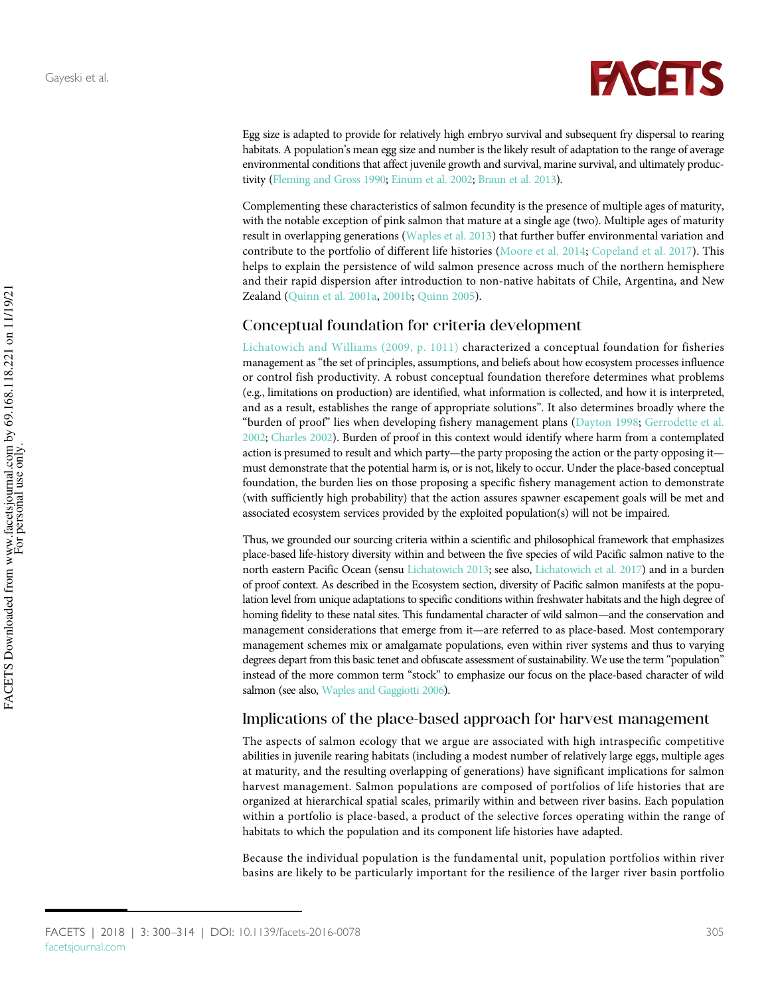

Egg size is adapted to provide for relatively high embryo survival and subsequent fry dispersal to rearing habitats. A population's mean egg size and number is the likely result of adaptation to the range of average environmental conditions that affect juvenile growth and survival, marine survival, and ultimately productivity [\(Fleming and Gross 1990;](#page-11-0) [Einum et al. 2002;](#page-11-1) [Braun et al. 2013](#page-10-3)).

Complementing these characteristics of salmon fecundity is the presence of multiple ages of maturity, with the notable exception of pink salmon that mature at a single age (two). Multiple ages of maturity result in overlapping generations ([Waples et al. 2013](#page-14-8)) that further buffer environmental variation and contribute to the portfolio of different life histories ([Moore et al. 2014;](#page-12-4) [Copeland et al. 2017\)](#page-10-4). This helps to explain the persistence of wild salmon presence across much of the northern hemisphere and their rapid dispersion after introduction to non-native habitats of Chile, Argentina, and New Zealand [\(Quinn et al. 2001a,](#page-13-3) [2001b](#page-13-4); [Quinn 2005\)](#page-13-1).

### Conceptual foundation for criteria development

[Lichatowich and Williams \(2009, p. 1011\)](#page-12-7) characterized a conceptual foundation for fisheries management as "the set of principles, assumptions, and beliefs about how ecosystem processes influence or control fish productivity. A robust conceptual foundation therefore determines what problems (e.g., limitations on production) are identified, what information is collected, and how it is interpreted, and as a result, establishes the range of appropriate solutions". It also determines broadly where the "burden of proof" lies when developing fishery management plans ([Dayton 1998;](#page-11-11) [Gerrodette et al.](#page-11-12) [2002;](#page-11-12) [Charles 2002](#page-10-5)). Burden of proof in this context would identify where harm from a contemplated action is presumed to result and which party—the party proposing the action or the party opposing it must demonstrate that the potential harm is, or is not, likely to occur. Under the place-based conceptual foundation, the burden lies on those proposing a specific fishery management action to demonstrate (with sufficiently high probability) that the action assures spawner escapement goals will be met and associated ecosystem services provided by the exploited population(s) will not be impaired.

Thus, we grounded our sourcing criteria within a scientific and philosophical framework that emphasizes place-based life-history diversity within and between the five species of wild Pacific salmon native to the north eastern Pacific Ocean (sensu [Lichatowich 2013;](#page-12-8) see also, [Lichatowich et al. 2017\)](#page-12-9) and in a burden of proof context. As described in the Ecosystem section, diversity of Pacific salmon manifests at the population level from unique adaptations to specific conditions within freshwater habitats and the high degree of homing fidelity to these natal sites. This fundamental character of wild salmon—and the conservation and management considerations that emerge from it—are referred to as place-based. Most contemporary management schemes mix or amalgamate populations, even within river systems and thus to varying degrees depart from this basic tenet and obfuscate assessment of sustainability. We use the term "population" instead of the more common term "stock" to emphasize our focus on the place-based character of wild salmon (see also, [Waples and Gaggiotti 2006](#page-14-9)).

### Implications of the place-based approach for harvest management

The aspects of salmon ecology that we argue are associated with high intraspecific competitive abilities in juvenile rearing habitats (including a modest number of relatively large eggs, multiple ages at maturity, and the resulting overlapping of generations) have significant implications for salmon harvest management. Salmon populations are composed of portfolios of life histories that are organized at hierarchical spatial scales, primarily within and between river basins. Each population within a portfolio is place-based, a product of the selective forces operating within the range of habitats to which the population and its component life histories have adapted.

Because the individual population is the fundamental unit, population portfolios within river basins are likely to be particularly important for the resilience of the larger river basin portfolio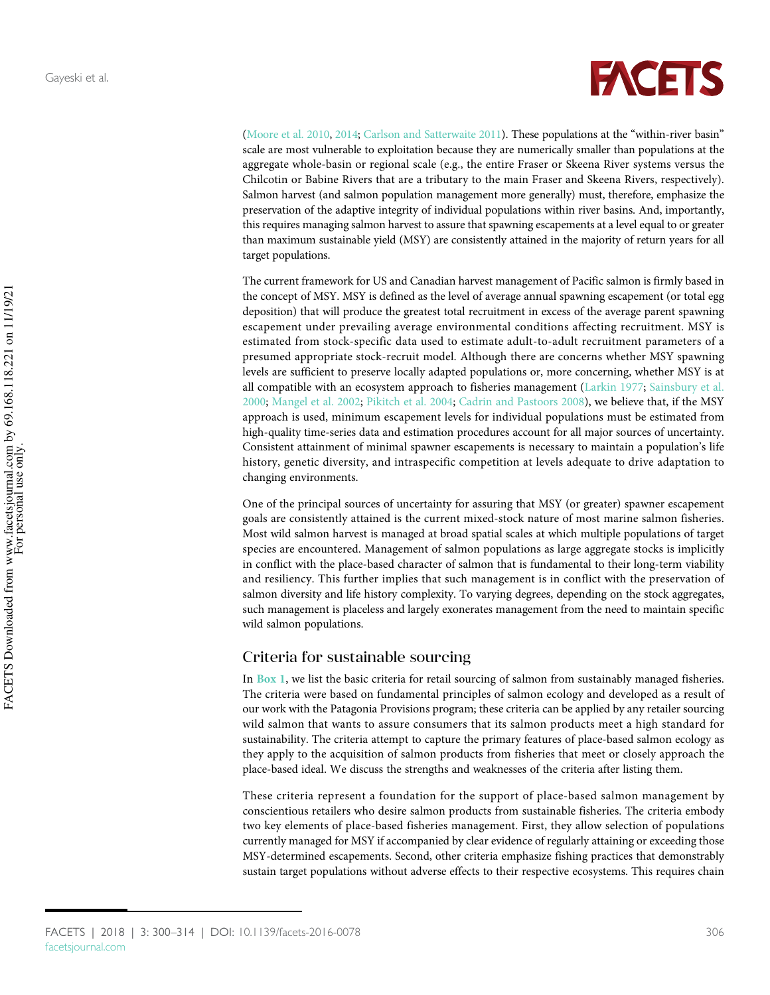

[\(Moore et al. 2010](#page-12-3), [2014;](#page-12-4) [Carlson and Satterwaite 2011\)](#page-10-6). These populations at the "within-river basin" scale are most vulnerable to exploitation because they are numerically smaller than populations at the aggregate whole-basin or regional scale (e.g., the entire Fraser or Skeena River systems versus the Chilcotin or Babine Rivers that are a tributary to the main Fraser and Skeena Rivers, respectively). Salmon harvest (and salmon population management more generally) must, therefore, emphasize the preservation of the adaptive integrity of individual populations within river basins. And, importantly, this requires managing salmon harvest to assure that spawning escapements at a level equal to or greater than maximum sustainable yield (MSY) are consistently attained in the majority of return years for all target populations.

The current framework for US and Canadian harvest management of Pacific salmon is firmly based in the concept of MSY. MSY is defined as the level of average annual spawning escapement (or total egg deposition) that will produce the greatest total recruitment in excess of the average parent spawning escapement under prevailing average environmental conditions affecting recruitment. MSY is estimated from stock-specific data used to estimate adult-to-adult recruitment parameters of a presumed appropriate stock-recruit model. Although there are concerns whether MSY spawning levels are sufficient to preserve locally adapted populations or, more concerning, whether MSY is at all compatible with an ecosystem approach to fisheries management ([Larkin 1977;](#page-12-10) [Sainsbury et al.](#page-13-5) [2000](#page-13-5); [Mangel et al. 2002;](#page-12-11) [Pikitch et al. 2004](#page-13-6); [Cadrin and Pastoors 2008\)](#page-10-7), we believe that, if the MSY approach is used, minimum escapement levels for individual populations must be estimated from high-quality time-series data and estimation procedures account for all major sources of uncertainty. Consistent attainment of minimal spawner escapements is necessary to maintain a population's life history, genetic diversity, and intraspecific competition at levels adequate to drive adaptation to changing environments.

One of the principal sources of uncertainty for assuring that MSY (or greater) spawner escapement goals are consistently attained is the current mixed-stock nature of most marine salmon fisheries. Most wild salmon harvest is managed at broad spatial scales at which multiple populations of target species are encountered. Management of salmon populations as large aggregate stocks is implicitly in conflict with the place-based character of salmon that is fundamental to their long-term viability and resiliency. This further implies that such management is in conflict with the preservation of salmon diversity and life history complexity. To varying degrees, depending on the stock aggregates, such management is placeless and largely exonerates management from the need to maintain specific wild salmon populations.

### Criteria for sustainable sourcing

In [Box 1](#page-2-0), we list the basic criteria for retail sourcing of salmon from sustainably managed fisheries. The criteria were based on fundamental principles of salmon ecology and developed as a result of our work with the Patagonia Provisions program; these criteria can be applied by any retailer sourcing wild salmon that wants to assure consumers that its salmon products meet a high standard for sustainability. The criteria attempt to capture the primary features of place-based salmon ecology as they apply to the acquisition of salmon products from fisheries that meet or closely approach the place-based ideal. We discuss the strengths and weaknesses of the criteria after listing them.

These criteria represent a foundation for the support of place-based salmon management by conscientious retailers who desire salmon products from sustainable fisheries. The criteria embody two key elements of place-based fisheries management. First, they allow selection of populations currently managed for MSY if accompanied by clear evidence of regularly attaining or exceeding those MSY-determined escapements. Second, other criteria emphasize fishing practices that demonstrably sustain target populations without adverse effects to their respective ecosystems. This requires chain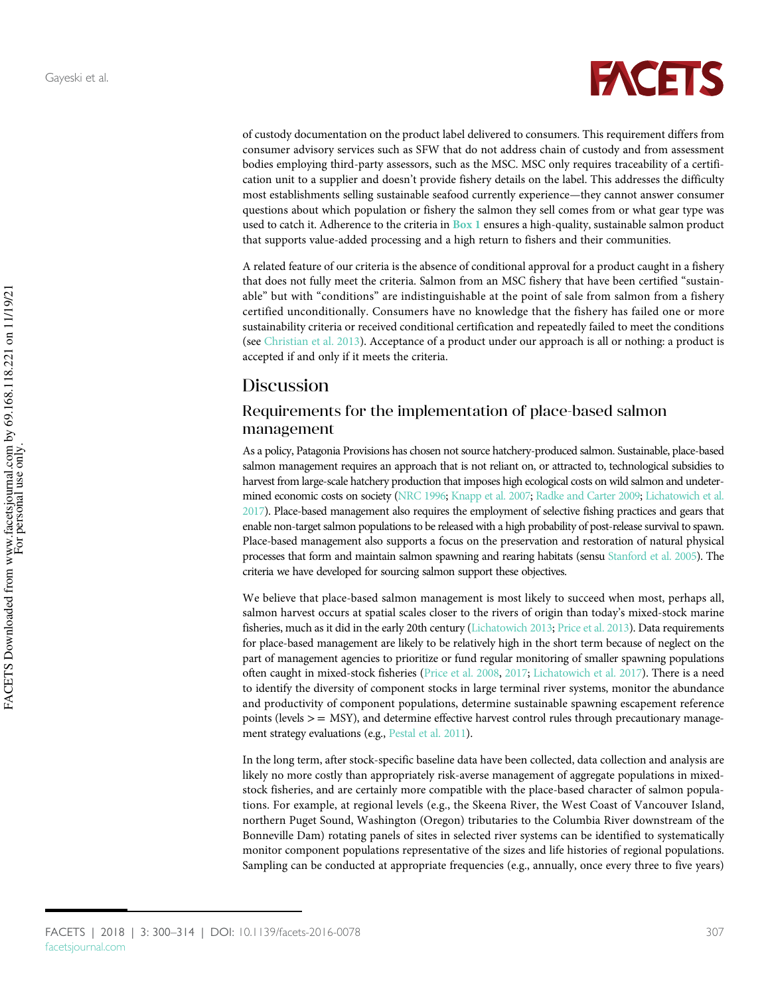

of custody documentation on the product label delivered to consumers. This requirement differs from consumer advisory services such as SFW that do not address chain of custody and from assessment bodies employing third-party assessors, such as the MSC. MSC only requires traceability of a certification unit to a supplier and doesn't provide fishery details on the label. This addresses the difficulty most establishments selling sustainable seafood currently experience—they cannot answer consumer questions about which population or fishery the salmon they sell comes from or what gear type was used to catch it. Adherence to the criteria in **[Box 1](#page-2-0)** ensures a high-quality, sustainable salmon product that supports value-added processing and a high return to fishers and their communities.

A related feature of our criteria is the absence of conditional approval for a product caught in a fishery that does not fully meet the criteria. Salmon from an MSC fishery that have been certified "sustainable" but with "conditions" are indistinguishable at the point of sale from salmon from a fishery certified unconditionally. Consumers have no knowledge that the fishery has failed one or more sustainability criteria or received conditional certification and repeatedly failed to meet the conditions (see [Christian et al. 2013](#page-10-0)). Acceptance of a product under our approach is all or nothing: a product is accepted if and only if it meets the criteria.

### Discussion

### Requirements for the implementation of place-based salmon management

As a policy, Patagonia Provisions has chosen not source hatchery-produced salmon. Sustainable, place-based salmon management requires an approach that is not reliant on, or attracted to, technological subsidies to harvest from large-scale hatchery production that imposes high ecological costs on wild salmon and undetermined economic costs on society ([NRC 1996](#page-13-7); [Knapp et al. 2007;](#page-12-12) [Radke and Carter 2009](#page-13-8); [Lichatowich et al.](#page-12-9) [2017](#page-12-9)). Place-based management also requires the employment of selective fishing practices and gears that enable non-target salmon populations to be released with a high probability of post-release survival to spawn. Place-based management also supports a focus on the preservation and restoration of natural physical processes that form and maintain salmon spawning and rearing habitats (sensu [Stanford et al. 2005](#page-14-1)). The criteria we have developed for sourcing salmon support these objectives.

We believe that place-based salmon management is most likely to succeed when most, perhaps all, salmon harvest occurs at spatial scales closer to the rivers of origin than today's mixed-stock marine fisheries, much as it did in the early 20th century ([Lichatowich 2013](#page-12-8); [Price et al. 2013](#page-13-9)). Data requirements for place-based management are likely to be relatively high in the short term because of neglect on the part of management agencies to prioritize or fund regular monitoring of smaller spawning populations often caught in mixed-stock fisheries [\(Price et al. 2008,](#page-13-10) [2017;](#page-13-0) [Lichatowich et al. 2017\)](#page-12-9). There is a need to identify the diversity of component stocks in large terminal river systems, monitor the abundance and productivity of component populations, determine sustainable spawning escapement reference points (levels  $>$  = MSY), and determine effective harvest control rules through precautionary management strategy evaluations (e.g., [Pestal et al. 2011\)](#page-13-11).

In the long term, after stock-specific baseline data have been collected, data collection and analysis are likely no more costly than appropriately risk-averse management of aggregate populations in mixedstock fisheries, and are certainly more compatible with the place-based character of salmon populations. For example, at regional levels (e.g., the Skeena River, the West Coast of Vancouver Island, northern Puget Sound, Washington (Oregon) tributaries to the Columbia River downstream of the Bonneville Dam) rotating panels of sites in selected river systems can be identified to systematically monitor component populations representative of the sizes and life histories of regional populations. Sampling can be conducted at appropriate frequencies (e.g., annually, once every three to five years)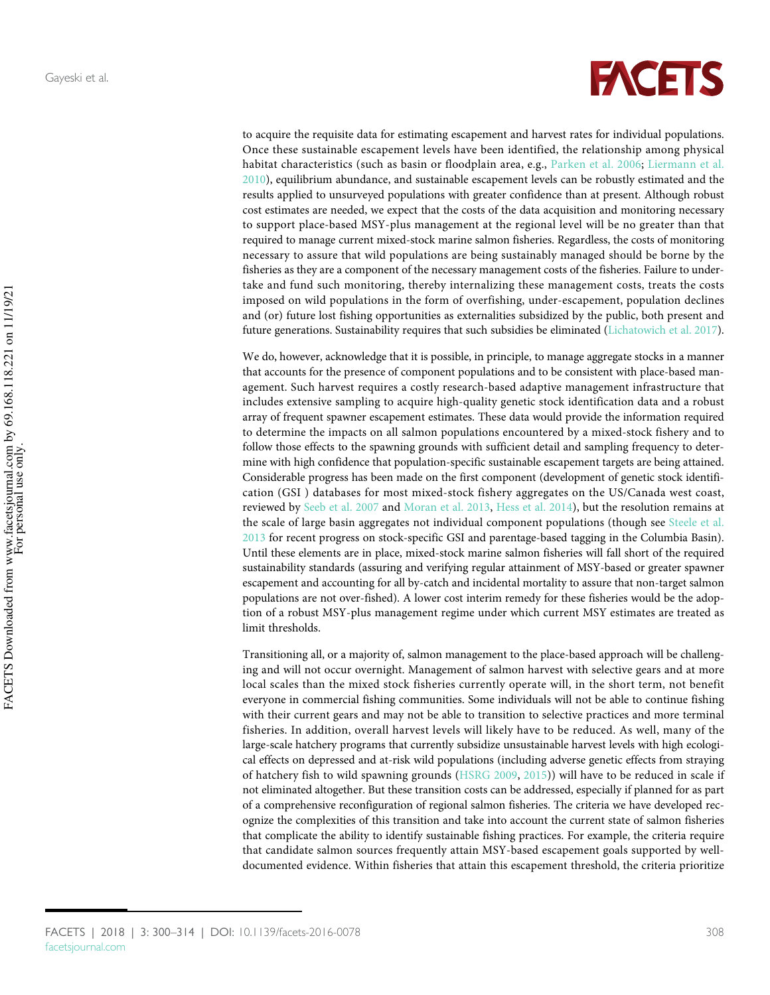

to acquire the requisite data for estimating escapement and harvest rates for individual populations. Once these sustainable escapement levels have been identified, the relationship among physical habitat characteristics (such as basin or floodplain area, e.g., [Parken et al. 2006](#page-13-12); [Liermann et al.](#page-12-13) [2010](#page-12-13)), equilibrium abundance, and sustainable escapement levels can be robustly estimated and the results applied to unsurveyed populations with greater confidence than at present. Although robust cost estimates are needed, we expect that the costs of the data acquisition and monitoring necessary to support place-based MSY-plus management at the regional level will be no greater than that required to manage current mixed-stock marine salmon fisheries. Regardless, the costs of monitoring necessary to assure that wild populations are being sustainably managed should be borne by the fisheries as they are a component of the necessary management costs of the fisheries. Failure to undertake and fund such monitoring, thereby internalizing these management costs, treats the costs imposed on wild populations in the form of overfishing, under-escapement, population declines and (or) future lost fishing opportunities as externalities subsidized by the public, both present and future generations. Sustainability requires that such subsidies be eliminated ([Lichatowich et al. 2017\)](#page-12-9).

We do, however, acknowledge that it is possible, in principle, to manage aggregate stocks in a manner that accounts for the presence of component populations and to be consistent with place-based management. Such harvest requires a costly research-based adaptive management infrastructure that includes extensive sampling to acquire high-quality genetic stock identification data and a robust array of frequent spawner escapement estimates. These data would provide the information required to determine the impacts on all salmon populations encountered by a mixed-stock fishery and to follow those effects to the spawning grounds with sufficient detail and sampling frequency to determine with high confidence that population-specific sustainable escapement targets are being attained. Considerable progress has been made on the first component (development of genetic stock identification (GSI ) databases for most mixed-stock fishery aggregates on the US/Canada west coast, reviewed by [Seeb et al. 2007](#page-14-10) and [Moran et al. 2013,](#page-12-14) [Hess et al. 2014](#page-11-13)), but the resolution remains at the scale of large basin aggregates not individual component populations (though see [Steele et al.](#page-14-11) [2013](#page-14-11) for recent progress on stock-specific GSI and parentage-based tagging in the Columbia Basin). Until these elements are in place, mixed-stock marine salmon fisheries will fall short of the required sustainability standards (assuring and verifying regular attainment of MSY-based or greater spawner escapement and accounting for all by-catch and incidental mortality to assure that non-target salmon populations are not over-fished). A lower cost interim remedy for these fisheries would be the adoption of a robust MSY-plus management regime under which current MSY estimates are treated as limit thresholds.

Transitioning all, or a majority of, salmon management to the place-based approach will be challenging and will not occur overnight. Management of salmon harvest with selective gears and at more local scales than the mixed stock fisheries currently operate will, in the short term, not benefit everyone in commercial fishing communities. Some individuals will not be able to continue fishing with their current gears and may not be able to transition to selective practices and more terminal fisheries. In addition, overall harvest levels will likely have to be reduced. As well, many of the large-scale hatchery programs that currently subsidize unsustainable harvest levels with high ecological effects on depressed and at-risk wild populations (including adverse genetic effects from straying of hatchery fish to wild spawning grounds [\(HSRG 2009,](#page-11-14) [2015](#page-11-15))) will have to be reduced in scale if not eliminated altogether. But these transition costs can be addressed, especially if planned for as part of a comprehensive reconfiguration of regional salmon fisheries. The criteria we have developed recognize the complexities of this transition and take into account the current state of salmon fisheries that complicate the ability to identify sustainable fishing practices. For example, the criteria require that candidate salmon sources frequently attain MSY-based escapement goals supported by welldocumented evidence. Within fisheries that attain this escapement threshold, the criteria prioritize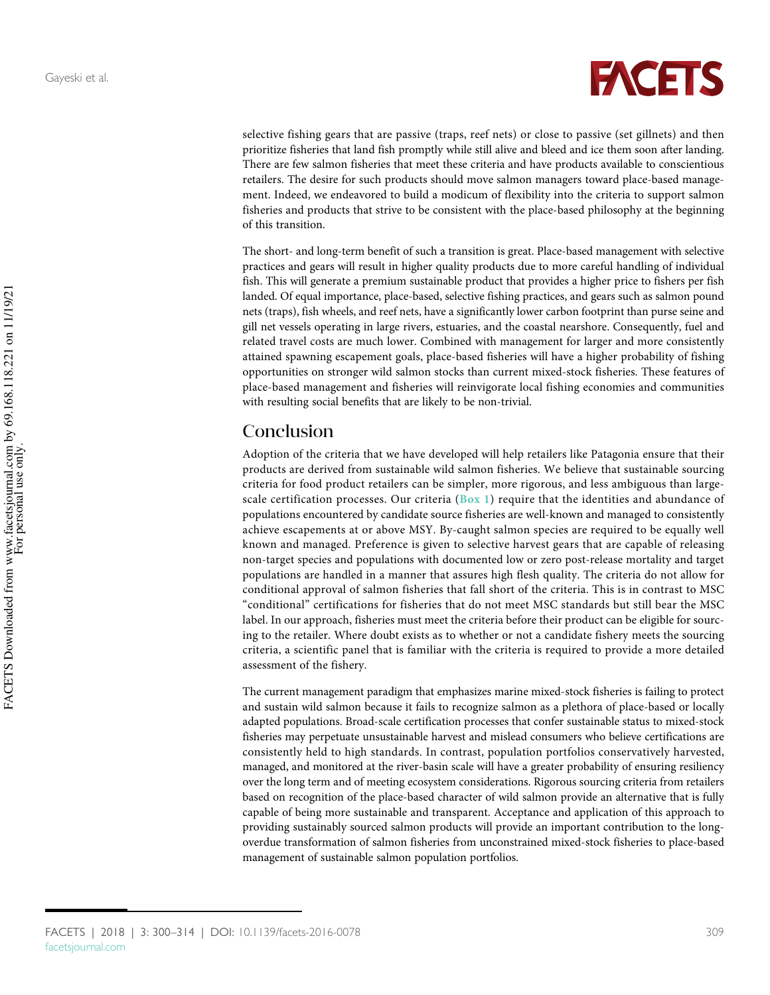

selective fishing gears that are passive (traps, reef nets) or close to passive (set gillnets) and then prioritize fisheries that land fish promptly while still alive and bleed and ice them soon after landing. There are few salmon fisheries that meet these criteria and have products available to conscientious retailers. The desire for such products should move salmon managers toward place-based management. Indeed, we endeavored to build a modicum of flexibility into the criteria to support salmon fisheries and products that strive to be consistent with the place-based philosophy at the beginning of this transition.

The short- and long-term benefit of such a transition is great. Place-based management with selective practices and gears will result in higher quality products due to more careful handling of individual fish. This will generate a premium sustainable product that provides a higher price to fishers per fish landed. Of equal importance, place-based, selective fishing practices, and gears such as salmon pound nets (traps), fish wheels, and reef nets, have a significantly lower carbon footprint than purse seine and gill net vessels operating in large rivers, estuaries, and the coastal nearshore. Consequently, fuel and related travel costs are much lower. Combined with management for larger and more consistently attained spawning escapement goals, place-based fisheries will have a higher probability of fishing opportunities on stronger wild salmon stocks than current mixed-stock fisheries. These features of place-based management and fisheries will reinvigorate local fishing economies and communities with resulting social benefits that are likely to be non-trivial.

### Conclusion

Adoption of the criteria that we have developed will help retailers like Patagonia ensure that their products are derived from sustainable wild salmon fisheries. We believe that sustainable sourcing criteria for food product retailers can be simpler, more rigorous, and less ambiguous than largescale certification processes. Our criteria ( $Box 1$ ) require that the identities and abundance of populations encountered by candidate source fisheries are well-known and managed to consistently achieve escapements at or above MSY. By-caught salmon species are required to be equally well known and managed. Preference is given to selective harvest gears that are capable of releasing non-target species and populations with documented low or zero post-release mortality and target populations are handled in a manner that assures high flesh quality. The criteria do not allow for conditional approval of salmon fisheries that fall short of the criteria. This is in contrast to MSC "conditional" certifications for fisheries that do not meet MSC standards but still bear the MSC label. In our approach, fisheries must meet the criteria before their product can be eligible for sourcing to the retailer. Where doubt exists as to whether or not a candidate fishery meets the sourcing criteria, a scientific panel that is familiar with the criteria is required to provide a more detailed assessment of the fishery.

The current management paradigm that emphasizes marine mixed-stock fisheries is failing to protect and sustain wild salmon because it fails to recognize salmon as a plethora of place-based or locally adapted populations. Broad-scale certification processes that confer sustainable status to mixed-stock fisheries may perpetuate unsustainable harvest and mislead consumers who believe certifications are consistently held to high standards. In contrast, population portfolios conservatively harvested, managed, and monitored at the river-basin scale will have a greater probability of ensuring resiliency over the long term and of meeting ecosystem considerations. Rigorous sourcing criteria from retailers based on recognition of the place-based character of wild salmon provide an alternative that is fully capable of being more sustainable and transparent. Acceptance and application of this approach to providing sustainably sourced salmon products will provide an important contribution to the longoverdue transformation of salmon fisheries from unconstrained mixed-stock fisheries to place-based management of sustainable salmon population portfolios.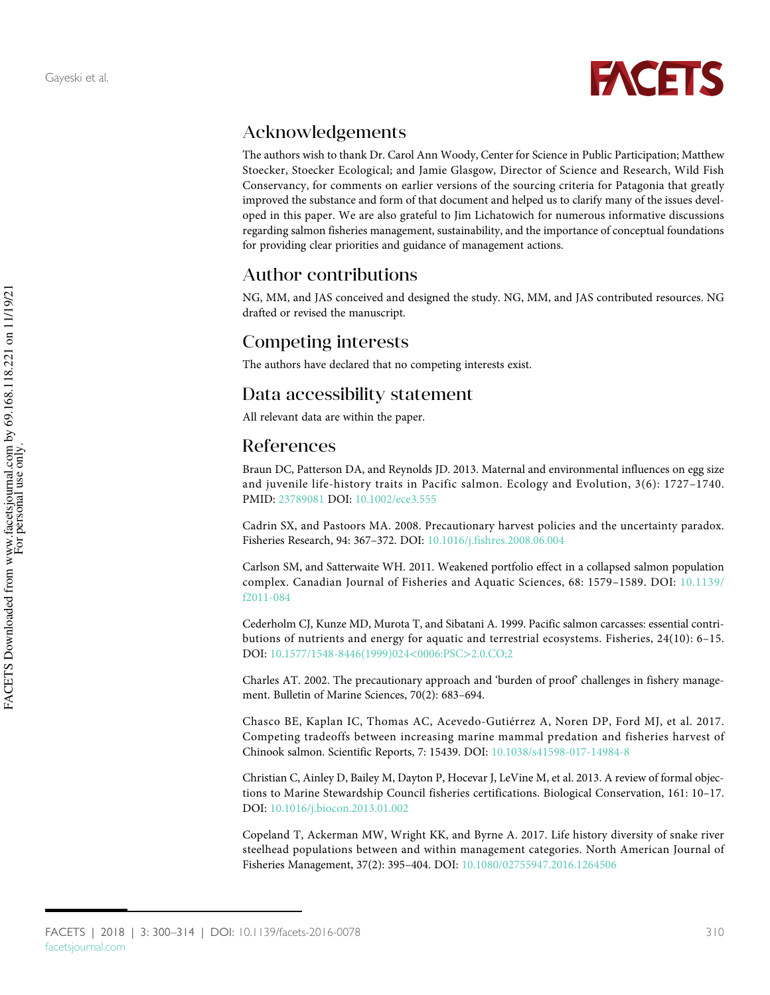

# Acknowledgements

The authors wish to thank Dr. Carol Ann Woody, Center for Science in Public Participation; Matthew Stoecker, Stoecker Ecological; and Jamie Glasgow, Director of Science and Research, Wild Fish Conservancy, for comments on earlier versions of the sourcing criteria for Patagonia that greatly improved the substance and form of that document and helped us to clarify many of the issues developed in this paper. We are also grateful to Jim Lichatowich for numerous informative discussions regarding salmon fisheries management, sustainability, and the importance of conceptual foundations for providing clear priorities and guidance of management actions.

# Author contributions

NG, MM, and JAS conceived and designed the study. NG, MM, and JAS contributed resources. NG drafted or revised the manuscript.

## Competing interests

The authors have declared that no competing interests exist.

### Data accessibility statement

All relevant data are within the paper.

### References

<span id="page-10-3"></span>Braun DC, Patterson DA, and Reynolds JD. 2013. Maternal and environmental influences on egg size and juvenile life-history traits in Pacific salmon. Ecology and Evolution, 3(6): 1727–1740. PMID: [23789081](http://www.ncbi.nlm.nih.gov/pubmed/23789081) DOI: [10.1002/ece3.555](http://dx.doi.org/10.1002/ece3.555)

<span id="page-10-7"></span>Cadrin SX, and Pastoors MA. 2008. Precautionary harvest policies and the uncertainty paradox. Fisheries Research, 94: 367–372. DOI: [10.1016/j.fishres.2008.06.004](http://dx.doi.org/10.1016/j.fishres.2008.06.004)

<span id="page-10-6"></span>Carlson SM, and Satterwaite WH. 2011. Weakened portfolio effect in a collapsed salmon population complex. Canadian Journal of Fisheries and Aquatic Sciences, 68: 1579–1589. DOI: [10.1139/](http://dx.doi.org/10.1139/f2011-084) [f2011-084](http://dx.doi.org/10.1139/f2011-084)

<span id="page-10-1"></span>Cederholm CJ, Kunze MD, Murota T, and Sibatani A. 1999. Pacific salmon carcasses: essential contributions of nutrients and energy for aquatic and terrestrial ecosystems. Fisheries, 24(10): 6–15. DOI: [10.1577/1548-8446\(1999\)024](http://dx.doi.org/10.1577/1548-8446(1999)024%3C0006:PSC%3E2.0.CO;2)<0006:PSC>2.0.CO;2

<span id="page-10-5"></span>Charles AT. 2002. The precautionary approach and 'burden of proof' challenges in fishery management. Bulletin of Marine Sciences, 70(2): 683–694.

<span id="page-10-2"></span>Chasco BE, Kaplan IC, Thomas AC, Acevedo-Gutiérrez A, Noren DP, Ford MJ, et al. 2017. Competing tradeoffs between increasing marine mammal predation and fisheries harvest of Chinook salmon. Scientific Reports, 7: 15439. DOI: [10.1038/s41598-017-14984-8](http://dx.doi.org/10.1038/s41598-017-14984-8)

<span id="page-10-0"></span>Christian C, Ainley D, Bailey M, Dayton P, Hocevar J, LeVine M, et al. 2013. A review of formal objections to Marine Stewardship Council fisheries certifications. Biological Conservation, 161: 10–17. DOI: [10.1016/j.biocon.2013.01.002](http://dx.doi.org/10.1016/j.biocon.2013.01.002)

<span id="page-10-4"></span>Copeland T, Ackerman MW, Wright KK, and Byrne A. 2017. Life history diversity of snake river steelhead populations between and within management categories. North American Journal of Fisheries Management, 37(2): 395–404. DOI: [10.1080/02755947.2016.1264506](http://dx.doi.org/10.1080/02755947.2016.1264506)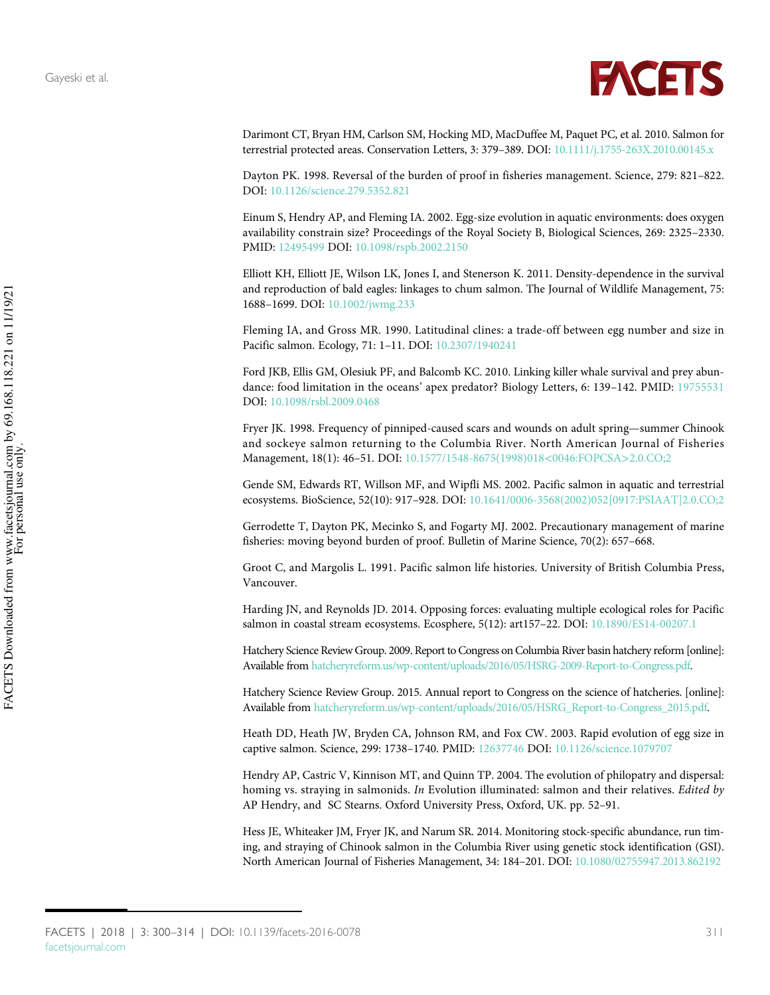

<span id="page-11-7"></span>Darimont CT, Bryan HM, Carlson SM, Hocking MD, MacDuffee M, Paquet PC, et al. 2010. Salmon for terrestrial protected areas. Conservation Letters, 3: 379–389. DOI: [10.1111/j.1755-263X.2010.00145.x](http://dx.doi.org/10.1111/j.1755-263X.2010.00145.x)

<span id="page-11-11"></span>Dayton PK. 1998. Reversal of the burden of proof in fisheries management. Science, 279: 821–822. DOI: [10.1126/science.279.5352.821](http://dx.doi.org/10.1126/science.279.5352.821)

<span id="page-11-1"></span>Einum S, Hendry AP, and Fleming IA. 2002. Egg-size evolution in aquatic environments: does oxygen availability constrain size? Proceedings of the Royal Society B, Biological Sciences, 269: 2325–2330. PMID: [12495499](http://www.ncbi.nlm.nih.gov/pubmed/12495499) DOI: [10.1098/rspb.2002.2150](http://dx.doi.org/10.1098/rspb.2002.2150)

<span id="page-11-8"></span>Elliott KH, Elliott JE, Wilson LK, Jones I, and Stenerson K. 2011. Density-dependence in the survival and reproduction of bald eagles: linkages to chum salmon. The Journal of Wildlife Management, 75: 1688–1699. DOI: [10.1002/jwmg.233](http://dx.doi.org/10.1002/jwmg.233)

<span id="page-11-0"></span>Fleming IA, and Gross MR. 1990. Latitudinal clines: a trade-off between egg number and size in Pacific salmon. Ecology, 71: 1–11. DOI: [10.2307/1940241](http://dx.doi.org/10.2307/1940241)

<span id="page-11-10"></span>Ford JKB, Ellis GM, Olesiuk PF, and Balcomb KC. 2010. Linking killer whale survival and prey abundance: food limitation in the oceans' apex predator? Biology Letters, 6: 139–142. PMID: [19755531](http://www.ncbi.nlm.nih.gov/pubmed/19755531) DOI: [10.1098/rsbl.2009.0468](http://dx.doi.org/10.1098/rsbl.2009.0468)

<span id="page-11-9"></span>Fryer JK. 1998. Frequency of pinniped-caused scars and wounds on adult spring—summer Chinook and sockeye salmon returning to the Columbia River. North American Journal of Fisheries Management, 18(1): 46–51. DOI: [10.1577/1548-8675\(1998\)018](http://dx.doi.org/10.1577/1548-8675(1998)018%3C0046:FOPCSA%3E2.0.CO;2)<0046:FOPCSA>2.0.CO;2

<span id="page-11-5"></span>Gende SM, Edwards RT, Willson MF, and Wipfli MS. 2002. Pacific salmon in aquatic and terrestrial ecosystems. BioScience, 52(10): 917–928. DOI: [10.1641/0006-3568\(2002\)052\[0917:PSIAAT\]2.0.CO;2](http://dx.doi.org/10.1641/0006-3568(2002)052[0917:PSIAAT]2.0.CO;2)

<span id="page-11-12"></span>Gerrodette T, Dayton PK, Mecinko S, and Fogarty MJ. 2002. Precautionary management of marine fisheries: moving beyond burden of proof. Bulletin of Marine Science, 70(2): 657–668.

<span id="page-11-4"></span>Groot C, and Margolis L. 1991. Pacific salmon life histories. University of British Columbia Press, Vancouver.

<span id="page-11-6"></span>Harding JN, and Reynolds JD. 2014. Opposing forces: evaluating multiple ecological roles for Pacific salmon in coastal stream ecosystems. Ecosphere, 5(12): art157–22. DOI: [10.1890/ES14-00207.1](http://dx.doi.org/10.1890/ES14-00207.1)

<span id="page-11-14"></span>Hatchery Science Review Group. 2009. Report to Congress on Columbia River basin hatchery reform [online]: Available from [hatcheryreform.us/wp-content/uploads/2016/05/HSRG-2009-Report-to-Congress.pdf.](http://hatcheryreform.us/wp-content/uploads/2016/05/HSRG-2009-Report-to-Congress.pdf)

<span id="page-11-15"></span>Hatchery Science Review Group. 2015. Annual report to Congress on the science of hatcheries. [online]: Available from [hatcheryreform.us/wp-content/uploads/2016/05/HSRG\\_Report-to-Congress\\_2015.pdf](http://hatcheryreform.us/wp-content/uploads/2016/05/HSRG_Report-to-Congress_2015.pdf).

<span id="page-11-2"></span>Heath DD, Heath JW, Bryden CA, Johnson RM, and Fox CW. 2003. Rapid evolution of egg size in captive salmon. Science, 299: 1738–1740. PMID: [12637746](http://www.ncbi.nlm.nih.gov/pubmed/12637746) DOI: [10.1126/science.1079707](http://dx.doi.org/10.1126/science.1079707)

<span id="page-11-3"></span>Hendry AP, Castric V, Kinnison MT, and Quinn TP. 2004. The evolution of philopatry and dispersal: homing vs. straying in salmonids. In Evolution illuminated: salmon and their relatives. Edited by AP Hendry, and SC Stearns. Oxford University Press, Oxford, UK. pp. 52–91.

<span id="page-11-13"></span>Hess JE, Whiteaker JM, Fryer JK, and Narum SR. 2014. Monitoring stock-specific abundance, run timing, and straying of Chinook salmon in the Columbia River using genetic stock identification (GSI). North American Journal of Fisheries Management, 34: 184–201. DOI: [10.1080/02755947.2013.862192](http://dx.doi.org/10.1080/02755947.2013.862192)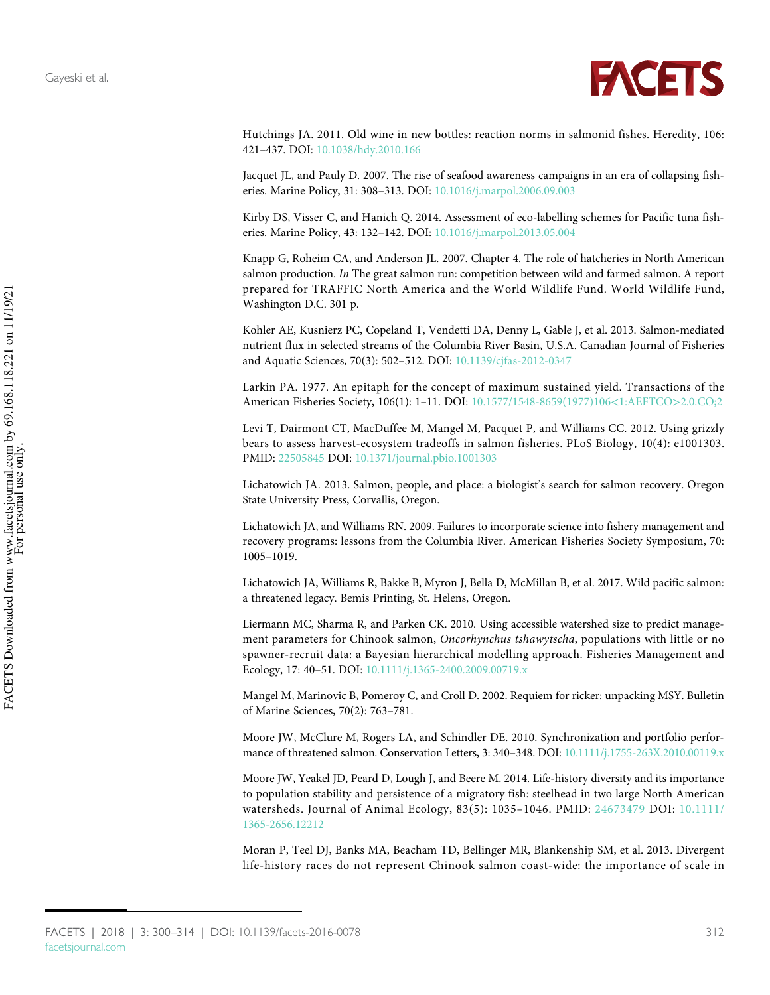

<span id="page-12-2"></span>Hutchings JA. 2011. Old wine in new bottles: reaction norms in salmonid fishes. Heredity, 106: 421–437. DOI: [10.1038/hdy.2010.166](http://dx.doi.org/10.1038/hdy.2010.166)

<span id="page-12-0"></span>Jacquet JL, and Pauly D. 2007. The rise of seafood awareness campaigns in an era of collapsing fisheries. Marine Policy, 31: 308–313. DOI: [10.1016/j.marpol.2006.09.003](http://dx.doi.org/10.1016/j.marpol.2006.09.003)

<span id="page-12-1"></span>Kirby DS, Visser C, and Hanich Q. 2014. Assessment of eco-labelling schemes for Pacific tuna fisheries. Marine Policy, 43: 132–142. DOI: [10.1016/j.marpol.2013.05.004](http://dx.doi.org/10.1016/j.marpol.2013.05.004)

<span id="page-12-12"></span>Knapp G, Roheim CA, and Anderson JL. 2007. Chapter 4. The role of hatcheries in North American salmon production. In The great salmon run: competition between wild and farmed salmon. A report prepared for TRAFFIC North America and the World Wildlife Fund. World Wildlife Fund, Washington D.C. 301 p.

<span id="page-12-5"></span>Kohler AE, Kusnierz PC, Copeland T, Vendetti DA, Denny L, Gable J, et al. 2013. Salmon-mediated nutrient flux in selected streams of the Columbia River Basin, U.S.A. Canadian Journal of Fisheries and Aquatic Sciences, 70(3): 502–512. DOI: [10.1139/cjfas-2012-0347](http://dx.doi.org/10.1139/cjfas-2012-0347)

<span id="page-12-10"></span>Larkin PA. 1977. An epitaph for the concept of maximum sustained yield. Transactions of the American Fisheries Society, 106(1): 1–11. DOI: [10.1577/1548-8659\(1977\)106](http://dx.doi.org/10.1577/1548-8659(1977)106%3C1:AEFTCO%3E2.0.CO;2)<1:AEFTCO>2.0.CO;2

<span id="page-12-6"></span>Levi T, Dairmont CT, MacDuffee M, Mangel M, Pacquet P, and Williams CC. 2012. Using grizzly bears to assess harvest-ecosystem tradeoffs in salmon fisheries. PLoS Biology, 10(4): e1001303. PMID: [22505845](http://www.ncbi.nlm.nih.gov/pubmed/22505845) DOI: [10.1371/journal.pbio.1001303](http://dx.doi.org/10.1371/journal.pbio.1001303)

<span id="page-12-8"></span>Lichatowich JA. 2013. Salmon, people, and place: a biologist's search for salmon recovery. Oregon State University Press, Corvallis, Oregon.

<span id="page-12-7"></span>Lichatowich JA, and Williams RN. 2009. Failures to incorporate science into fishery management and recovery programs: lessons from the Columbia River. American Fisheries Society Symposium, 70: 1005–1019.

<span id="page-12-9"></span>Lichatowich JA, Williams R, Bakke B, Myron J, Bella D, McMillan B, et al. 2017. Wild pacific salmon: a threatened legacy. Bemis Printing, St. Helens, Oregon.

<span id="page-12-13"></span>Liermann MC, Sharma R, and Parken CK. 2010. Using accessible watershed size to predict management parameters for Chinook salmon, Oncorhynchus tshawytscha, populations with little or no spawner-recruit data: a Bayesian hierarchical modelling approach. Fisheries Management and Ecology, 17: 40–51. DOI: [10.1111/j.1365-2400.2009.00719.x](http://dx.doi.org/10.1111/j.1365-2400.2009.00719.x)

<span id="page-12-11"></span>Mangel M, Marinovic B, Pomeroy C, and Croll D. 2002. Requiem for ricker: unpacking MSY. Bulletin of Marine Sciences, 70(2): 763–781.

<span id="page-12-3"></span>Moore JW, McClure M, Rogers LA, and Schindler DE. 2010. Synchronization and portfolio performance of threatened salmon. Conservation Letters, 3: 340–348. DOI: [10.1111/j.1755-263X.2010.00119.x](http://dx.doi.org/10.1111/j.1755-263X.2010.00119.x)

<span id="page-12-4"></span>Moore JW, Yeakel JD, Peard D, Lough J, and Beere M. 2014. Life-history diversity and its importance to population stability and persistence of a migratory fish: steelhead in two large North American watersheds. Journal of Animal Ecology, 83(5): 1035–1046. PMID: [24673479](http://www.ncbi.nlm.nih.gov/pubmed/24673479) DOI: [10.1111/](http://dx.doi.org/10.1111/1365-2656.12212) [1365-2656.12212](http://dx.doi.org/10.1111/1365-2656.12212)

<span id="page-12-14"></span>Moran P, Teel DJ, Banks MA, Beacham TD, Bellinger MR, Blankenship SM, et al. 2013. Divergent life-history races do not represent Chinook salmon coast-wide: the importance of scale in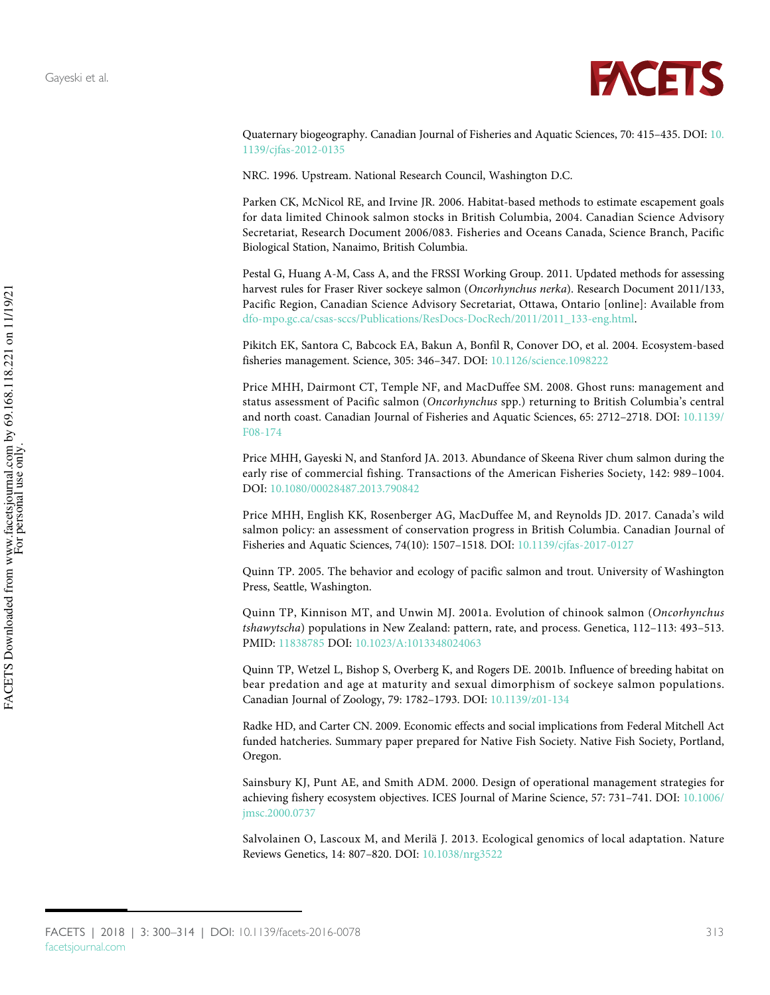

Quaternary biogeography. Canadian Journal of Fisheries and Aquatic Sciences, 70: 415–435. DOI: [10.](http://dx.doi.org/10.1139/cjfas-2012-0135) [1139/cjfas-2012-0135](http://dx.doi.org/10.1139/cjfas-2012-0135)

<span id="page-13-7"></span>NRC. 1996. Upstream. National Research Council, Washington D.C.

<span id="page-13-12"></span>Parken CK, McNicol RE, and Irvine JR. 2006. Habitat-based methods to estimate escapement goals for data limited Chinook salmon stocks in British Columbia, 2004. Canadian Science Advisory Secretariat, Research Document 2006/083. Fisheries and Oceans Canada, Science Branch, Pacific Biological Station, Nanaimo, British Columbia.

<span id="page-13-11"></span>Pestal G, Huang A-M, Cass A, and the FRSSI Working Group. 2011. Updated methods for assessing harvest rules for Fraser River sockeye salmon (Oncorhynchus nerka). Research Document 2011/133, Pacific Region, Canadian Science Advisory Secretariat, Ottawa, Ontario [online]: Available from [dfo-mpo.gc.ca/csas-sccs/Publications/ResDocs-DocRech/2011/2011\\_133-eng.html.](http://www.dfo-mpo.gc.ca/csas-sccs/Publications/ResDocs-DocRech/2011/2011_133-eng.html)

<span id="page-13-6"></span>Pikitch EK, Santora C, Babcock EA, Bakun A, Bonfil R, Conover DO, et al. 2004. Ecosystem-based fisheries management. Science, 305: 346–347. DOI: [10.1126/science.1098222](http://dx.doi.org/10.1126/science.1098222)

<span id="page-13-10"></span>Price MHH, Dairmont CT, Temple NF, and MacDuffee SM. 2008. Ghost runs: management and status assessment of Pacific salmon (Oncorhynchus spp.) returning to British Columbia's central and north coast. Canadian Journal of Fisheries and Aquatic Sciences, 65: 2712–2718. DOI: [10.1139/](http://dx.doi.org/10.1139/F08-174) [F08-174](http://dx.doi.org/10.1139/F08-174)

<span id="page-13-9"></span>Price MHH, Gayeski N, and Stanford JA. 2013. Abundance of Skeena River chum salmon during the early rise of commercial fishing. Transactions of the American Fisheries Society, 142: 989–1004. DOI: [10.1080/00028487.2013.790842](http://dx.doi.org/10.1080/00028487.2013.790842)

<span id="page-13-0"></span>Price MHH, English KK, Rosenberger AG, MacDuffee M, and Reynolds JD. 2017. Canada's wild salmon policy: an assessment of conservation progress in British Columbia. Canadian Journal of Fisheries and Aquatic Sciences, 74(10): 1507–1518. DOI: [10.1139/cjfas-2017-0127](http://dx.doi.org/10.1139/cjfas-2017-0127)

<span id="page-13-1"></span>Quinn TP. 2005. The behavior and ecology of pacific salmon and trout. University of Washington Press, Seattle, Washington.

<span id="page-13-3"></span>Quinn TP, Kinnison MT, and Unwin MJ. 2001a. Evolution of chinook salmon (Oncorhynchus tshawytscha) populations in New Zealand: pattern, rate, and process. Genetica, 112–113: 493–513. PMID: [11838785](http://www.ncbi.nlm.nih.gov/pubmed/11838785) DOI: [10.1023/A:1013348024063](http://dx.doi.org/10.1023/A:1013348024063)

<span id="page-13-4"></span>Quinn TP, Wetzel L, Bishop S, Overberg K, and Rogers DE. 2001b. Influence of breeding habitat on bear predation and age at maturity and sexual dimorphism of sockeye salmon populations. Canadian Journal of Zoology, 79: 1782–1793. DOI: [10.1139/z01-134](http://dx.doi.org/10.1139/z01-134)

<span id="page-13-8"></span>Radke HD, and Carter CN. 2009. Economic effects and social implications from Federal Mitchell Act funded hatcheries. Summary paper prepared for Native Fish Society. Native Fish Society, Portland, Oregon.

<span id="page-13-5"></span>Sainsbury KJ, Punt AE, and Smith ADM. 2000. Design of operational management strategies for achieving fishery ecosystem objectives. ICES Journal of Marine Science, 57: 731–741. DOI: [10.1006/](http://dx.doi.org/10.1006/jmsc.2000.0737) [jmsc.2000.0737](http://dx.doi.org/10.1006/jmsc.2000.0737)

<span id="page-13-2"></span>Salvolainen O, Lascoux M, and Merilä J. 2013. Ecological genomics of local adaptation. Nature Reviews Genetics, 14: 807–820. DOI: [10.1038/nrg3522](http://dx.doi.org/10.1038/nrg3522)